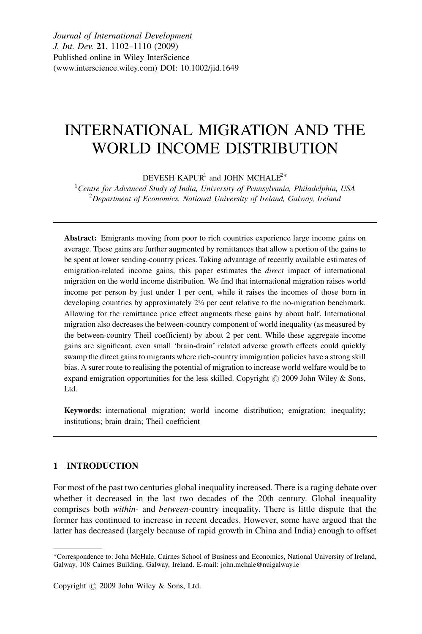Journal of International Development J. Int. Dev. 21, 1102–1110 (2009) Published online in Wiley InterScience (www.interscience.wiley.com) DOI: 10.1002/jid.1649

# INTERNATIONAL MIGRATION AND THE WORLD INCOME DISTRIBUTION

DEVESH KAPUR<sup>1</sup> and JOHN MCHAL $E^{2*}$ 

<sup>1</sup> Centre for Advanced Study of India, University of Pennsylvania, Philadelphia, USA  $\frac{2}{3}$  Denartment of Economics National University of Ireland, Galway, Ireland  $^2$ Department of Economics, National University of Ireland, Galway, Ireland

Abstract: Emigrants moving from poor to rich countries experience large income gains on average. These gains are further augmented by remittances that allow a portion of the gains to be spent at lower sending-country prices. Taking advantage of recently available estimates of emigration-related income gains, this paper estimates the direct impact of international migration on the world income distribution. We find that international migration raises world income per person by just under 1 per cent, while it raises the incomes of those born in developing countries by approximately 2¼ per cent relative to the no-migration benchmark. Allowing for the remittance price effect augments these gains by about half. International migration also decreases the between-country component of world inequality (as measured by the between-country Theil coefficient) by about 2 per cent. While these aggregate income gains are significant, even small 'brain-drain' related adverse growth effects could quickly swamp the direct gains to migrants where rich-country immigration policies have a strong skill bias. A surer route to realising the potential of migration to increase world welfare would be to expand emigration opportunities for the less skilled. Copyright  $\odot$  2009 John Wiley & Sons, Ltd.

Keywords: international migration; world income distribution; emigration; inequality; institutions; brain drain; Theil coefficient

## 1 INTRODUCTION

For most of the past two centuries global inequality increased. There is a raging debate over whether it decreased in the last two decades of the 20th century. Global inequality comprises both within- and between-country inequality. There is little dispute that the former has continued to increase in recent decades. However, some have argued that the latter has decreased (largely because of rapid growth in China and India) enough to offset

<sup>\*</sup>Correspondence to: John McHale, Cairnes School of Business and Economics, National University of Ireland, Galway, 108 Cairnes Building, Galway, Ireland. E-mail: john.mchale@nuigalway.ie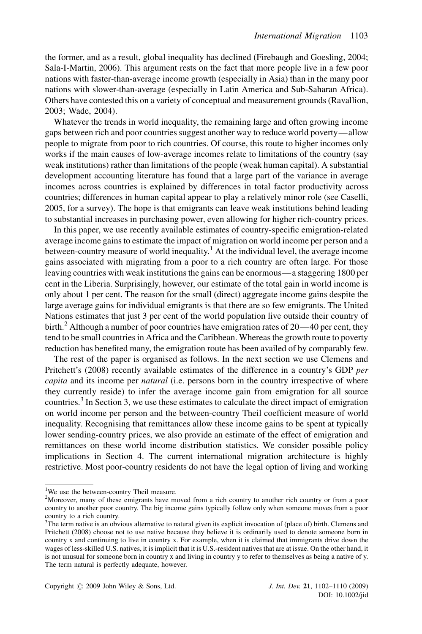the former, and as a result, global inequality has declined (Firebaugh and Goesling, 2004; Sala-I-Martin, 2006). This argument rests on the fact that more people live in a few poor nations with faster-than-average income growth (especially in Asia) than in the many poor nations with slower-than-average (especially in Latin America and Sub-Saharan Africa). Others have contested this on a variety of conceptual and measurement grounds (Ravallion, 2003; Wade, 2004).

Whatever the trends in world inequality, the remaining large and often growing income gaps between rich and poor countries suggest another way to reduce world poverty—allow people to migrate from poor to rich countries. Of course, this route to higher incomes only works if the main causes of low-average incomes relate to limitations of the country (say weak institutions) rather than limitations of the people (weak human capital). A substantial development accounting literature has found that a large part of the variance in average incomes across countries is explained by differences in total factor productivity across countries; differences in human capital appear to play a relatively minor role (see Caselli, 2005, for a survey). The hope is that emigrants can leave weak institutions behind leading to substantial increases in purchasing power, even allowing for higher rich-country prices.

In this paper, we use recently available estimates of country-specific emigration-related average income gains to estimate the impact of migration on world income per person and a between-country measure of world inequality.<sup>1</sup> At the individual level, the average income gains associated with migrating from a poor to a rich country are often large. For those leaving countries with weak institutions the gains can be enormous—a staggering 1800 per cent in the Liberia. Surprisingly, however, our estimate of the total gain in world income is only about 1 per cent. The reason for the small (direct) aggregate income gains despite the large average gains for individual emigrants is that there are so few emigrants. The United Nations estimates that just 3 per cent of the world population live outside their country of birth.<sup>2</sup> Although a number of poor countries have emigration rates of 20—40 per cent, they tend to be small countries in Africa and the Caribbean. Whereas the growth route to poverty reduction has benefited many, the emigration route has been availed of by comparably few.

The rest of the paper is organised as follows. In the next section we use Clemens and Pritchett's (2008) recently available estimates of the difference in a country's GDP per capita and its income per *natural* (i.e. persons born in the country irrespective of where they currently reside) to infer the average income gain from emigration for all source countries.<sup>3</sup> In Section 3, we use these estimates to calculate the direct impact of emigration on world income per person and the between-country Theil coefficient measure of world inequality. Recognising that remittances allow these income gains to be spent at typically lower sending-country prices, we also provide an estimate of the effect of emigration and remittances on these world income distribution statistics. We consider possible policy implications in Section 4. The current international migration architecture is highly restrictive. Most poor-country residents do not have the legal option of living and working

<sup>&</sup>lt;sup>1</sup>We use the between-country Theil measure.

<sup>&</sup>lt;sup>2</sup>Moreover, many of these emigrants have moved from a rich country to another rich country or from a poor country to another poor country. The big income gains typically follow only when someone moves from a poor country to a rich country.

<sup>&</sup>lt;sup>3</sup>The term native is an obvious alternative to natural given its explicit invocation of (place of) birth. Clemens and Pritchett (2008) choose not to use native because they believe it is ordinarily used to denote someone born in country x and continuing to live in country x. For example, when it is claimed that immigrants drive down the wages of less-skilled U.S. natives, it is implicit that it is U.S.-resident natives that are at issue. On the other hand, it is not unusual for someone born in country x and living in country y to refer to themselves as being a native of y. The term natural is perfectly adequate, however.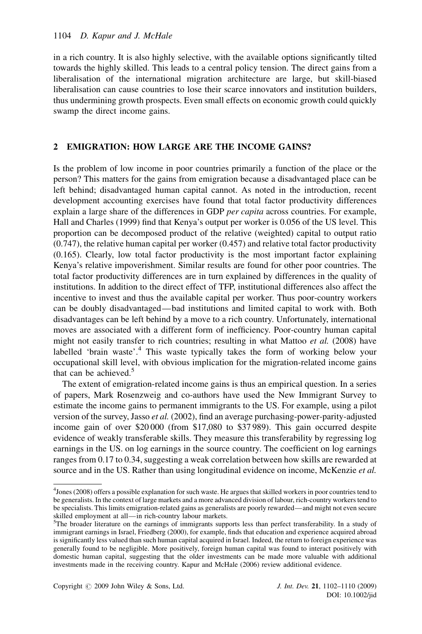### 1104 D. Kapur and J. McHale

in a rich country. It is also highly selective, with the available options significantly tilted towards the highly skilled. This leads to a central policy tension. The direct gains from a liberalisation of the international migration architecture are large, but skill-biased liberalisation can cause countries to lose their scarce innovators and institution builders, thus undermining growth prospects. Even small effects on economic growth could quickly swamp the direct income gains.

## 2 EMIGRATION: HOW LARGE ARE THE INCOME GAINS?

Is the problem of low income in poor countries primarily a function of the place or the person? This matters for the gains from emigration because a disadvantaged place can be left behind; disadvantaged human capital cannot. As noted in the introduction, recent development accounting exercises have found that total factor productivity differences explain a large share of the differences in GDP *per capita* across countries. For example, Hall and Charles (1999) find that Kenya's output per worker is 0.056 of the US level. This proportion can be decomposed product of the relative (weighted) capital to output ratio  $(0.747)$ , the relative human capital per worker  $(0.457)$  and relative total factor productivity (0.165). Clearly, low total factor productivity is the most important factor explaining Kenya's relative impoverishment. Similar results are found for other poor countries. The total factor productivity differences are in turn explained by differences in the quality of institutions. In addition to the direct effect of TFP, institutional differences also affect the incentive to invest and thus the available capital per worker. Thus poor-country workers can be doubly disadvantaged—bad institutions and limited capital to work with. Both disadvantages can be left behind by a move to a rich country. Unfortunately, international moves are associated with a different form of inefficiency. Poor-country human capital might not easily transfer to rich countries; resulting in what Mattoo  $et$  al. (2008) have labelled 'brain waste'.<sup>4</sup> This waste typically takes the form of working below your occupational skill level, with obvious implication for the migration-related income gains that can be achieved.<sup>5</sup>

The extent of emigration-related income gains is thus an empirical question. In a series of papers, Mark Rosenzweig and co-authors have used the New Immigrant Survey to estimate the income gains to permanent immigrants to the US. For example, using a pilot version of the survey, Jasso et al. (2002), find an average purchasing-power-parity-adjusted income gain of over \$20 000 (from \$17,080 to \$37 989). This gain occurred despite evidence of weakly transferable skills. They measure this transferability by regressing log earnings in the US. on log earnings in the source country. The coefficient on log earnings ranges from 0.17 to 0.34, suggesting a weak correlation between how skills are rewarded at source and in the US. Rather than using longitudinal evidence on income, McKenzie *et al.* 

<sup>&</sup>lt;sup>4</sup>Jones (2008) offers a possible explanation for such waste. He argues that skilled workers in poor countries tend to be generalists. In the context of large markets and a more advanced division of labour, rich-country workers tend to be specialists. This limits emigration-related gains as generalists are poorly rewarded—and might not even secure

skilled employment at all—in rich-country labour markets.<br><sup>5</sup>The broader literature on the earnings of immigrants supports less than perfect transferability. In a study of immigrant earnings in Israel, Friedberg (2000), for example, finds that education and experience acquired abroad is significantly less valued than such human capital acquired in Israel. Indeed, the return to foreign experience was generally found to be negligible. More positively, foreign human capital was found to interact positively with domestic human capital, suggesting that the older investments can be made more valuable with additional investments made in the receiving country. Kapur and McHale (2006) review additional evidence.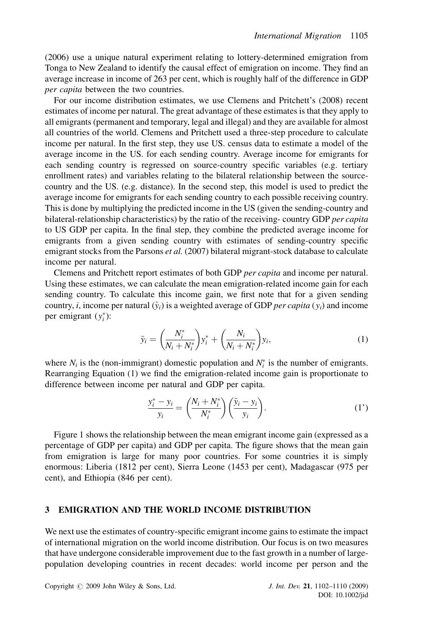(2006) use a unique natural experiment relating to lottery-determined emigration from Tonga to New Zealand to identify the causal effect of emigration on income. They find an average increase in income of 263 per cent, which is roughly half of the difference in GDP per capita between the two countries.

For our income distribution estimates, we use Clemens and Pritchett's (2008) recent estimates of income per natural. The great advantage of these estimates is that they apply to all emigrants (permanent and temporary, legal and illegal) and they are available for almost all countries of the world. Clemens and Pritchett used a three-step procedure to calculate income per natural. In the first step, they use US. census data to estimate a model of the average income in the US. for each sending country. Average income for emigrants for each sending country is regressed on source-country specific variables (e.g. tertiary enrollment rates) and variables relating to the bilateral relationship between the sourcecountry and the US. (e.g. distance). In the second step, this model is used to predict the average income for emigrants for each sending country to each possible receiving country. This is done by multiplying the predicted income in the US (given the sending-country and bilateral-relationship characteristics) by the ratio of the receiving-country GDP per capita to US GDP per capita. In the final step, they combine the predicted average income for emigrants from a given sending country with estimates of sending-country specific emigrant stocks from the Parsons et al. (2007) bilateral migrant-stock database to calculate income per natural.

Clemens and Pritchett report estimates of both GDP per capita and income per natural. Using these estimates, we can calculate the mean emigration-related income gain for each sending country. To calculate this income gain, we first note that for a given sending country, *i*, income per natural  $(\tilde{y}_i)$  is a weighted average of GDP *per capita*  $(y_i)$  and income per emigrant  $(y_i^*)$ :

$$
\tilde{y}_i = \left(\frac{N_i^*}{N_i + N_i^*}\right) y_i^* + \left(\frac{N_i}{N_i + N_i^*}\right) y_i,\tag{1}
$$

where  $N_i$  is the (non-immigrant) domestic population and  $N_i^*$  is the number of emigrants. Rearranging Equation (1) we find the emigration-related income gain is proportionate to difference between income per natural and GDP per capita.

$$
\frac{y_i^* - y_i}{y_i} = \left(\frac{N_i + N_i^*}{N_i^*}\right) \left(\frac{\tilde{y}_i - y_i}{y_i}\right). \tag{1'}
$$

Figure 1 shows the relationship between the mean emigrant income gain (expressed as a percentage of GDP per capita) and GDP per capita. The figure shows that the mean gain from emigration is large for many poor countries. For some countries it is simply enormous: Liberia (1812 per cent), Sierra Leone (1453 per cent), Madagascar (975 per cent), and Ethiopia (846 per cent).

## 3 EMIGRATION AND THE WORLD INCOME DISTRIBUTION

We next use the estimates of country-specific emigrant income gains to estimate the impact of international migration on the world income distribution. Our focus is on two measures that have undergone considerable improvement due to the fast growth in a number of largepopulation developing countries in recent decades: world income per person and the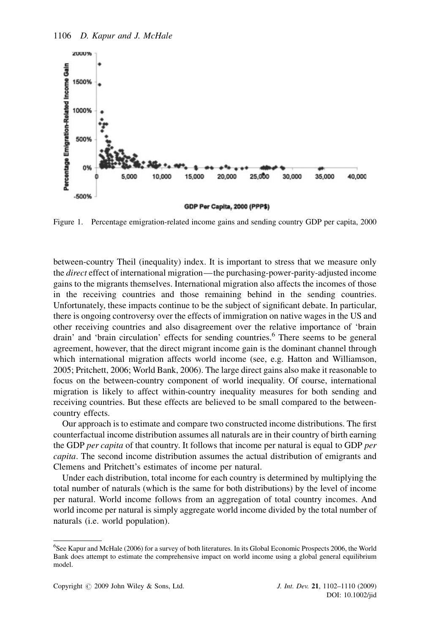

Figure 1. Percentage emigration-related income gains and sending country GDP per capita, 2000

between-country Theil (inequality) index. It is important to stress that we measure only the *direct* effect of international migration—the purchasing-power-parity-adjusted income gains to the migrants themselves. International migration also affects the incomes of those in the receiving countries and those remaining behind in the sending countries. Unfortunately, these impacts continue to be the subject of significant debate. In particular, there is ongoing controversy over the effects of immigration on native wages in the US and other receiving countries and also disagreement over the relative importance of 'brain drain' and 'brain circulation' effects for sending countries.<sup>6</sup> There seems to be general agreement, however, that the direct migrant income gain is the dominant channel through which international migration affects world income (see, e.g. Hatton and Williamson, 2005; Pritchett, 2006; World Bank, 2006). The large direct gains also make it reasonable to focus on the between-country component of world inequality. Of course, international migration is likely to affect within-country inequality measures for both sending and receiving countries. But these effects are believed to be small compared to the betweencountry effects.

Our approach is to estimate and compare two constructed income distributions. The first counterfactual income distribution assumes all naturals are in their country of birth earning the GDP *per capita* of that country. It follows that income per natural is equal to GDP *per* capita. The second income distribution assumes the actual distribution of emigrants and Clemens and Pritchett's estimates of income per natural.

Under each distribution, total income for each country is determined by multiplying the total number of naturals (which is the same for both distributions) by the level of income per natural. World income follows from an aggregation of total country incomes. And world income per natural is simply aggregate world income divided by the total number of naturals (i.e. world population).

<sup>6</sup> See Kapur and McHale (2006) for a survey of both literatures. In its Global Economic Prospects 2006, the World Bank does attempt to estimate the comprehensive impact on world income using a global general equilibrium model.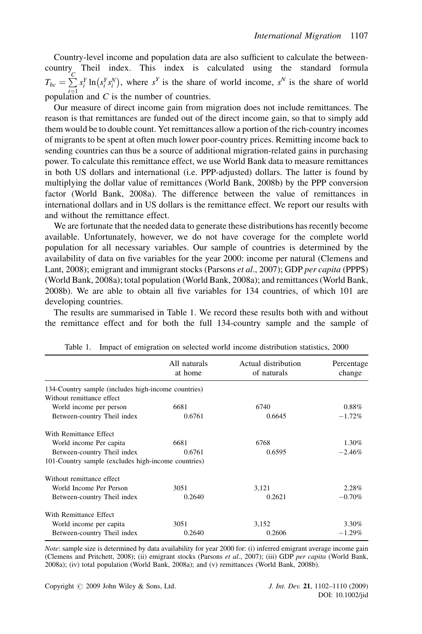Country-level income and population data are also sufficient to calculate the betweencountry Theil index. This index is calculated using the standard formula  $T_{bc} = \sum_{i=1}^{c} s_i^Y \ln(s_i^Y s_i^N)$ , where s<sup>Y</sup> is the share of world income, s<sup>N</sup> is the share of world population and C is the number of countries.

Our measure of direct income gain from migration does not include remittances. The reason is that remittances are funded out of the direct income gain, so that to simply add them would be to double count. Yet remittances allow a portion of the rich-country incomes of migrants to be spent at often much lower poor-country prices. Remitting income back to sending countries can thus be a source of additional migration-related gains in purchasing power. To calculate this remittance effect, we use World Bank data to measure remittances in both US dollars and international (i.e. PPP-adjusted) dollars. The latter is found by multiplying the dollar value of remittances (World Bank, 2008b) by the PPP conversion factor (World Bank, 2008a). The difference between the value of remittances in international dollars and in US dollars is the remittance effect. We report our results with and without the remittance effect.

We are fortunate that the needed data to generate these distributions has recently become available. Unfortunately, however, we do not have coverage for the complete world population for all necessary variables. Our sample of countries is determined by the availability of data on five variables for the year 2000: income per natural (Clemens and Lant, 2008); emigrant and immigrant stocks (Parsons *et al.*, 2007); GDP *per capita* (PPP\$) (World Bank, 2008a); total population (World Bank, 2008a); and remittances (World Bank, 2008b). We are able to obtain all five variables for 134 countries, of which 101 are developing countries.

The results are summarised in Table 1. We record these results both with and without the remittance effect and for both the full 134-country sample and the sample of

|                                                     | All naturals<br>at home | Actual distribution<br>of naturals | Percentage<br>change |
|-----------------------------------------------------|-------------------------|------------------------------------|----------------------|
| 134-Country sample (includes high-income countries) |                         |                                    |                      |
| Without remittance effect                           |                         |                                    |                      |
| World income per person                             | 6681                    | 6740                               | $0.88\%$             |
| Between-country Theil index                         | 0.6761                  | 0.6645                             | $-1.72%$             |
| With Remittance Effect                              |                         |                                    |                      |
| World income Per capita                             | 6681                    | 6768                               | 1.30%                |
| Between-country Theil index                         | 0.6761                  | 0.6595                             | $-2.46%$             |
| 101-Country sample (excludes high-income countries) |                         |                                    |                      |
| Without remittance effect                           |                         |                                    |                      |
| World Income Per Person                             | 3051                    | 3,121                              | 2.28%                |
| Between-country Theil index                         | 0.2640                  | 0.2621                             | $-0.70%$             |
| With Remittance Effect                              |                         |                                    |                      |
| World income per capita                             | 3051                    | 3,152                              | 3.30%                |
| Between-country Theil index                         | 0.2640                  | 0.2606                             | $-1.29%$             |

Table 1. Impact of emigration on selected world income distribution statistics, 2000

Note: sample size is determined by data availability for year 2000 for: (i) inferred emigrant average income gain (Clemens and Pritchett, 2008); (ii) emigrant stocks (Parsons et al., 2007); (iii) GDP per capita (World Bank, 2008a); (iv) total population (World Bank, 2008a); and (v) remittances (World Bank, 2008b).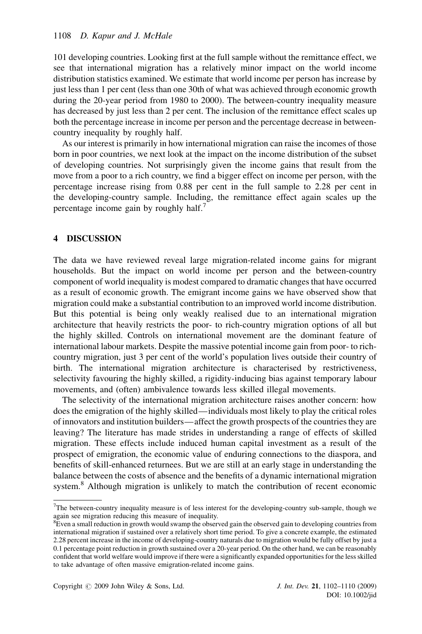101 developing countries. Looking first at the full sample without the remittance effect, we see that international migration has a relatively minor impact on the world income distribution statistics examined. We estimate that world income per person has increase by just less than 1 per cent (less than one 30th of what was achieved through economic growth during the 20-year period from 1980 to 2000). The between-country inequality measure has decreased by just less than 2 per cent. The inclusion of the remittance effect scales up both the percentage increase in income per person and the percentage decrease in betweencountry inequality by roughly half.

As our interest is primarily in how international migration can raise the incomes of those born in poor countries, we next look at the impact on the income distribution of the subset of developing countries. Not surprisingly given the income gains that result from the move from a poor to a rich country, we find a bigger effect on income per person, with the percentage increase rising from 0.88 per cent in the full sample to 2.28 per cent in the developing-country sample. Including, the remittance effect again scales up the percentage income gain by roughly half.<sup>7</sup>

#### 4 DISCUSSION

The data we have reviewed reveal large migration-related income gains for migrant households. But the impact on world income per person and the between-country component of world inequality is modest compared to dramatic changes that have occurred as a result of economic growth. The emigrant income gains we have observed show that migration could make a substantial contribution to an improved world income distribution. But this potential is being only weakly realised due to an international migration architecture that heavily restricts the poor- to rich-country migration options of all but the highly skilled. Controls on international movement are the dominant feature of international labour markets. Despite the massive potential income gain from poor- to richcountry migration, just 3 per cent of the world's population lives outside their country of birth. The international migration architecture is characterised by restrictiveness, selectivity favouring the highly skilled, a rigidity-inducing bias against temporary labour movements, and (often) ambivalence towards less skilled illegal movements.

The selectivity of the international migration architecture raises another concern: how does the emigration of the highly skilled—individuals most likely to play the critical roles of innovators and institution builders—affect the growth prospects of the countries they are leaving? The literature has made strides in understanding a range of effects of skilled migration. These effects include induced human capital investment as a result of the prospect of emigration, the economic value of enduring connections to the diaspora, and benefits of skill-enhanced returnees. But we are still at an early stage in understanding the balance between the costs of absence and the benefits of a dynamic international migration system.<sup>8</sup> Although migration is unlikely to match the contribution of recent economic

<sup>&</sup>lt;sup>7</sup>The between-country inequality measure is of less interest for the developing-country sub-sample, though we

again see migration reducing this measure of inequality.<br><sup>8</sup>Even a small reduction in growth would swamp the observed gain the observed gain to developing countries from international migration if sustained over a relatively short time period. To give a concrete example, the estimated 2.28 percent increase in the income of developing-country naturals due to migration would be fully offset by just a 0.1 percentage point reduction in growth sustained over a 20-year period. On the other hand, we can be reasonably confident that world welfare would improve if there were a significantly expanded opportunities for the less skilled to take advantage of often massive emigration-related income gains.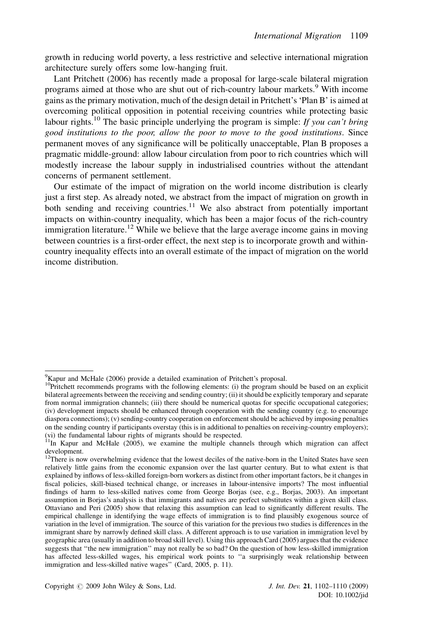growth in reducing world poverty, a less restrictive and selective international migration architecture surely offers some low-hanging fruit.

Lant Pritchett (2006) has recently made a proposal for large-scale bilateral migration programs aimed at those who are shut out of rich-country labour markets.<sup>9</sup> With income gains as the primary motivation, much of the design detail in Pritchett's 'Plan B' is aimed at overcoming political opposition in potential receiving countries while protecting basic labour rights.<sup>10</sup> The basic principle underlying the program is simple: If you can't bring good institutions to the poor, allow the poor to move to the good institutions. Since permanent moves of any significance will be politically unacceptable, Plan B proposes a pragmatic middle-ground: allow labour circulation from poor to rich countries which will modestly increase the labour supply in industrialised countries without the attendant concerns of permanent settlement.

Our estimate of the impact of migration on the world income distribution is clearly just a first step. As already noted, we abstract from the impact of migration on growth in both sending and receiving countries.<sup>11</sup> We also abstract from potentially important impacts on within-country inequality, which has been a major focus of the rich-country immigration literature.<sup>12</sup> While we believe that the large average income gains in moving between countries is a first-order effect, the next step is to incorporate growth and withincountry inequality effects into an overall estimate of the impact of migration on the world income distribution.

 ${}^{9}$ Kapur and McHale (2006) provide a detailed examination of Pritchett's proposal.

<sup>&</sup>lt;sup>10</sup>Pritchett recommends programs with the following elements: (i) the program should be based on an explicit bilateral agreements between the receiving and sending country; (ii) it should be explicitly temporary and separate from normal immigration channels; (iii) there should be numerical quotas for specific occupational categories; (iv) development impacts should be enhanced through cooperation with the sending country (e.g. to encourage diaspora connections); (v) sending-country cooperation on enforcement should be achieved by imposing penalties on the sending country if participants overstay (this is in additional to penalties on receiving-country employers); (vi) the fundamental labour rights of migrants should be respected.

<sup>&</sup>lt;sup>11</sup>In Kapur and McHale (2005), we examine the multiple channels through which migration can affect development.

 $12$ There is now overwhelming evidence that the lowest deciles of the native-born in the United States have seen relatively little gains from the economic expansion over the last quarter century. But to what extent is that explained by inflows of less-skilled foreign-born workers as distinct from other important factors, be it changes in fiscal policies, skill-biased technical change, or increases in labour-intensive imports? The most influential findings of harm to less-skilled natives come from George Borjas (see, e.g., Borjas, 2003). An important assumption in Borjas's analysis is that immigrants and natives are perfect substitutes within a given skill class. Ottaviano and Peri (2005) show that relaxing this assumption can lead to significantly different results. The empirical challenge in identifying the wage effects of immigration is to find plausibly exogenous source of variation in the level of immigration. The source of this variation for the previous two studies is differences in the immigrant share by narrowly defined skill class. A different approach is to use variation in immigration level by geographic area (usually in addition to broad skill level). Using this approach Card (2005) argues that the evidence suggests that ''the new immigration'' may not really be so bad? On the question of how less-skilled immigration has affected less-skilled wages, his empirical work points to "a surprisingly weak relationship between immigration and less-skilled native wages'' (Card, 2005, p. 11).